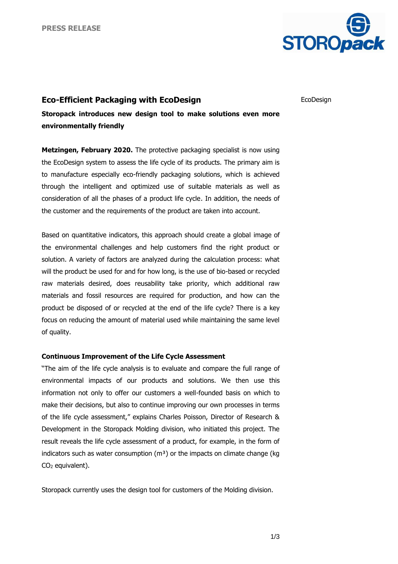

## **Eco-Efficient Packaging with EcoDesign**

EcoDesign

**Storopack introduces new design tool to make solutions even more environmentally friendly** 

**Metzingen, February 2020.** The protective packaging specialist is now using the EcoDesign system to assess the life cycle of its products. The primary aim is to manufacture especially eco-friendly packaging solutions, which is achieved through the intelligent and optimized use of suitable materials as well as consideration of all the phases of a product life cycle. In addition, the needs of the customer and the requirements of the product are taken into account.

Based on quantitative indicators, this approach should create a global image of the environmental challenges and help customers find the right product or solution. A variety of factors are analyzed during the calculation process: what will the product be used for and for how long, is the use of bio-based or recycled raw materials desired, does reusability take priority, which additional raw materials and fossil resources are required for production, and how can the product be disposed of or recycled at the end of the life cycle? There is a key focus on reducing the amount of material used while maintaining the same level of quality.

## **Continuous Improvement of the Life Cycle Assessment**

"The aim of the life cycle analysis is to evaluate and compare the full range of environmental impacts of our products and solutions. We then use this information not only to offer our customers a well-founded basis on which to make their decisions, but also to continue improving our own processes in terms of the life cycle assessment," explains Charles Poisson, Director of Research & Development in the Storopack Molding division, who initiated this project. The result reveals the life cycle assessment of a product, for example, in the form of indicators such as water consumption  $(m<sup>3</sup>)$  or the impacts on climate change (kg CO<sup>2</sup> equivalent).

Storopack currently uses the design tool for customers of the Molding division.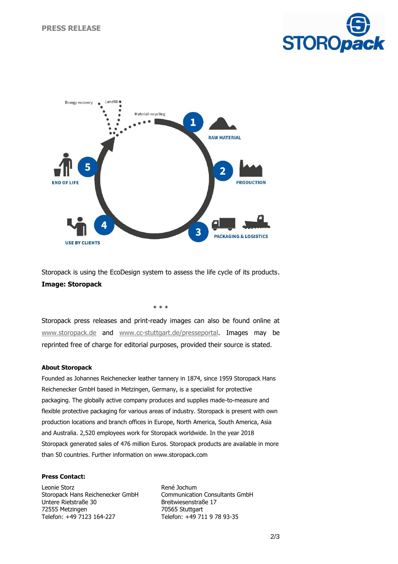



Storopack is using the EcoDesign system to assess the life cycle of its products. **Image: Storopack**

\* \* \*

Storopack press releases and print-ready images can also be found online at [www.storopack.de](http://www.storopack.de/) and [www.cc-stuttgart.de/presseportal.](http://www.cc-stuttgart.de/presseportal) Images may be reprinted free of charge for editorial purposes, provided their source is stated.

## **About Storopack**

Founded as Johannes Reichenecker leather tannery in 1874, since 1959 Storopack Hans Reichenecker GmbH based in Metzingen, Germany, is a specialist for protective packaging. The globally active company produces and supplies made-to-measure and flexible protective packaging for various areas of industry. Storopack is present with own production locations and branch offices in Europe, North America, South America, Asia and Australia. 2,520 employees work for Storopack worldwide. In the year 2018 Storopack generated sales of 476 million Euros. Storopack products are available in more than 50 countries. Further information on www.storopack.com

## **Press Contact:**

Leonie Storz Storopack Hans Reichenecker GmbH Untere Rietstraße 30 72555 Metzingen Telefon: +49 7123 164-227

René Jochum Communication Consultants GmbH Breitwiesenstraße 17 70565 Stuttgart Telefon: +49 711 9 78 93-35